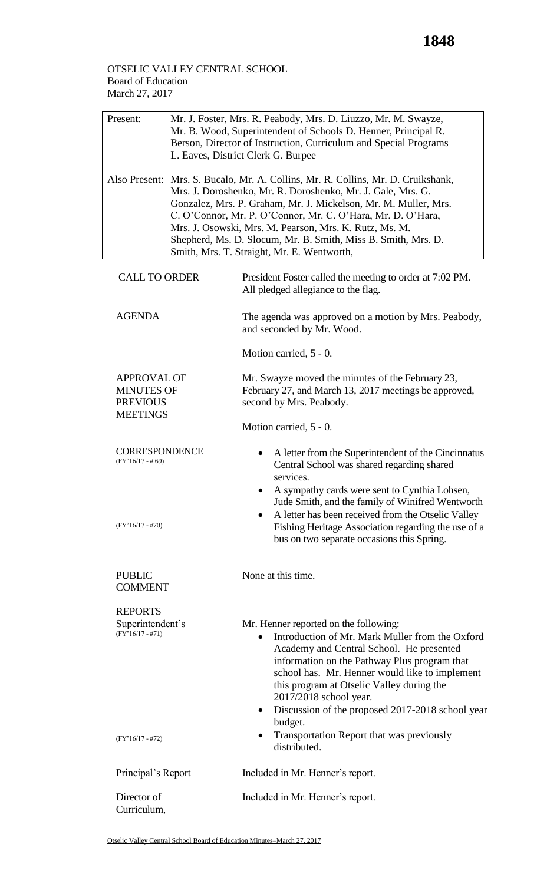## OTSELIC VALLEY CENTRAL SCHOOL Board of Education March 27, 2017

| Present:                                                                       | Mr. J. Foster, Mrs. R. Peabody, Mrs. D. Liuzzo, Mr. M. Swayze,<br>Mr. B. Wood, Superintendent of Schools D. Henner, Principal R.<br>Berson, Director of Instruction, Curriculum and Special Programs<br>L. Eaves, District Clerk G. Burpee                                                                                                                                                                                                                 |                                                                                                                                                                                                                                                                                                                                                                                                                                                        |  |  |
|--------------------------------------------------------------------------------|------------------------------------------------------------------------------------------------------------------------------------------------------------------------------------------------------------------------------------------------------------------------------------------------------------------------------------------------------------------------------------------------------------------------------------------------------------|--------------------------------------------------------------------------------------------------------------------------------------------------------------------------------------------------------------------------------------------------------------------------------------------------------------------------------------------------------------------------------------------------------------------------------------------------------|--|--|
|                                                                                | Also Present: Mrs. S. Bucalo, Mr. A. Collins, Mr. R. Collins, Mr. D. Cruikshank,<br>Mrs. J. Doroshenko, Mr. R. Doroshenko, Mr. J. Gale, Mrs. G.<br>Gonzalez, Mrs. P. Graham, Mr. J. Mickelson, Mr. M. Muller, Mrs.<br>C. O'Connor, Mr. P. O'Connor, Mr. C. O'Hara, Mr. D. O'Hara,<br>Mrs. J. Osowski, Mrs. M. Pearson, Mrs. K. Rutz, Ms. M.<br>Shepherd, Ms. D. Slocum, Mr. B. Smith, Miss B. Smith, Mrs. D.<br>Smith, Mrs. T. Straight, Mr. E. Wentworth, |                                                                                                                                                                                                                                                                                                                                                                                                                                                        |  |  |
| <b>CALL TO ORDER</b>                                                           |                                                                                                                                                                                                                                                                                                                                                                                                                                                            | President Foster called the meeting to order at 7:02 PM.<br>All pledged allegiance to the flag.                                                                                                                                                                                                                                                                                                                                                        |  |  |
| <b>AGENDA</b>                                                                  |                                                                                                                                                                                                                                                                                                                                                                                                                                                            | The agenda was approved on a motion by Mrs. Peabody,<br>and seconded by Mr. Wood.                                                                                                                                                                                                                                                                                                                                                                      |  |  |
|                                                                                |                                                                                                                                                                                                                                                                                                                                                                                                                                                            | Motion carried, 5 - 0.                                                                                                                                                                                                                                                                                                                                                                                                                                 |  |  |
| <b>APPROVAL OF</b><br><b>MINUTES OF</b><br><b>PREVIOUS</b><br><b>MEETINGS</b>  |                                                                                                                                                                                                                                                                                                                                                                                                                                                            | Mr. Swayze moved the minutes of the February 23,<br>February 27, and March 13, 2017 meetings be approved,<br>second by Mrs. Peabody.                                                                                                                                                                                                                                                                                                                   |  |  |
|                                                                                |                                                                                                                                                                                                                                                                                                                                                                                                                                                            | Motion carried, 5 - 0.                                                                                                                                                                                                                                                                                                                                                                                                                                 |  |  |
| <b>CORRESPONDENCE</b><br>$(FY'16/17 - #69)$                                    |                                                                                                                                                                                                                                                                                                                                                                                                                                                            | A letter from the Superintendent of the Cincinnatus<br>Central School was shared regarding shared<br>services.                                                                                                                                                                                                                                                                                                                                         |  |  |
| $(FY'16/17 - #70)$                                                             |                                                                                                                                                                                                                                                                                                                                                                                                                                                            | A sympathy cards were sent to Cynthia Lohsen,<br>Jude Smith, and the family of Winifred Wentworth<br>A letter has been received from the Otselic Valley<br>Fishing Heritage Association regarding the use of a<br>bus on two separate occasions this Spring.                                                                                                                                                                                           |  |  |
| <b>PUBLIC</b><br><b>COMMENT</b>                                                |                                                                                                                                                                                                                                                                                                                                                                                                                                                            | None at this time.                                                                                                                                                                                                                                                                                                                                                                                                                                     |  |  |
| <b>REPORTS</b><br>Superintendent's<br>$(FY'16/17 - #71)$<br>$(FY'16/17 - #72)$ |                                                                                                                                                                                                                                                                                                                                                                                                                                                            | Mr. Henner reported on the following:<br>Introduction of Mr. Mark Muller from the Oxford<br>Academy and Central School. He presented<br>information on the Pathway Plus program that<br>school has. Mr. Henner would like to implement<br>this program at Otselic Valley during the<br>2017/2018 school year.<br>Discussion of the proposed 2017-2018 school year<br>$\bullet$<br>budget.<br>Transportation Report that was previously<br>distributed. |  |  |
| Principal's Report                                                             |                                                                                                                                                                                                                                                                                                                                                                                                                                                            | Included in Mr. Henner's report.                                                                                                                                                                                                                                                                                                                                                                                                                       |  |  |
| Director of<br>Curriculum,                                                     |                                                                                                                                                                                                                                                                                                                                                                                                                                                            | Included in Mr. Henner's report.                                                                                                                                                                                                                                                                                                                                                                                                                       |  |  |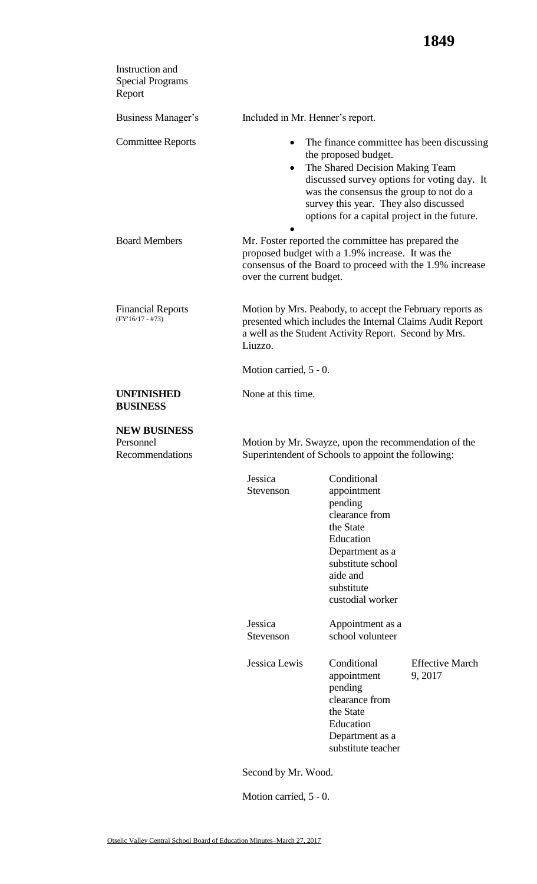| Instruction and<br><b>Special Programs</b><br>Report |                                                                                                             |                                                                                                                                                                                                                                                                                         |                                  |
|------------------------------------------------------|-------------------------------------------------------------------------------------------------------------|-----------------------------------------------------------------------------------------------------------------------------------------------------------------------------------------------------------------------------------------------------------------------------------------|----------------------------------|
| Business Manager's                                   | Included in Mr. Henner's report.                                                                            |                                                                                                                                                                                                                                                                                         |                                  |
| <b>Committee Reports</b>                             | $\bullet$<br>٠                                                                                              | The finance committee has been discussing<br>the proposed budget.<br>The Shared Decision Making Team<br>discussed survey options for voting day. It<br>was the consensus the group to not do a<br>survey this year. They also discussed<br>options for a capital project in the future. |                                  |
| <b>Board Members</b>                                 | over the current budget.                                                                                    | Mr. Foster reported the committee has prepared the<br>proposed budget with a 1.9% increase. It was the<br>consensus of the Board to proceed with the 1.9% increase                                                                                                                      |                                  |
| <b>Financial Reports</b><br>$(FY'16/17 - #73)$       | Liuzzo.                                                                                                     | Motion by Mrs. Peabody, to accept the February reports as<br>presented which includes the Internal Claims Audit Report<br>a well as the Student Activity Report. Second by Mrs.                                                                                                         |                                  |
|                                                      | Motion carried, 5 - 0.                                                                                      |                                                                                                                                                                                                                                                                                         |                                  |
| <b>UNFINISHED</b><br><b>BUSINESS</b>                 | None at this time.                                                                                          |                                                                                                                                                                                                                                                                                         |                                  |
| <b>NEW BUSINESS</b><br>Personnel<br>Recommendations  | Motion by Mr. Swayze, upon the recommendation of the<br>Superintendent of Schools to appoint the following: |                                                                                                                                                                                                                                                                                         |                                  |
|                                                      | Jessica<br>Stevenson                                                                                        | Conditional<br>appointment<br>pending<br>clearance from<br>the State<br>Education<br>Department as a<br>substitute school<br>aide and<br>substitute<br>custodial worker                                                                                                                 |                                  |
|                                                      | Jessica<br>Stevenson                                                                                        | Appointment as a<br>school volunteer                                                                                                                                                                                                                                                    |                                  |
|                                                      | Jessica Lewis                                                                                               | Conditional<br>appointment<br>pending<br>clearance from<br>the State<br>Education<br>Department as a<br>substitute teacher                                                                                                                                                              | <b>Effective March</b><br>9,2017 |
|                                                      | Second by Mr. Wood.                                                                                         |                                                                                                                                                                                                                                                                                         |                                  |

Motion carried, 5 - 0.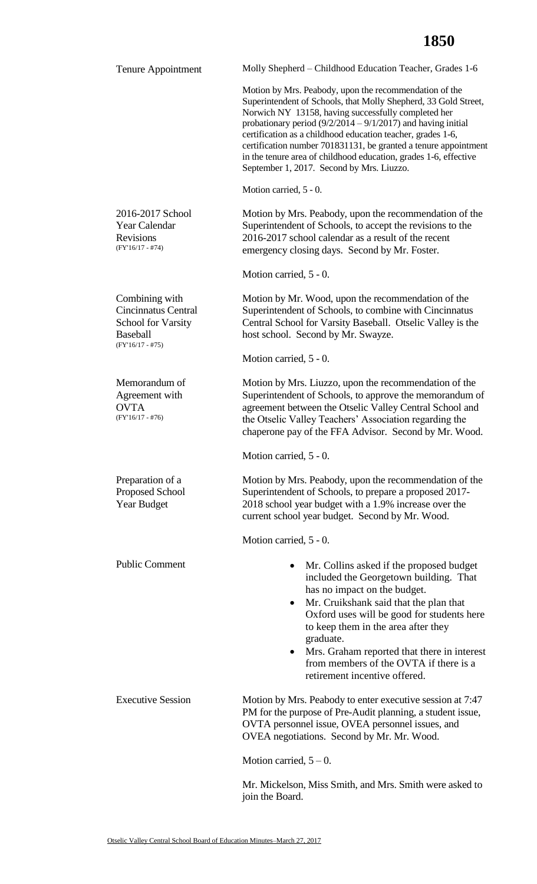| Tenure Appointment                                                                                                 | Molly Shepherd – Childhood Education Teacher, Grades 1-6                                                                                                                                                                                                                                                                                                                                                                                                                                              |  |  |
|--------------------------------------------------------------------------------------------------------------------|-------------------------------------------------------------------------------------------------------------------------------------------------------------------------------------------------------------------------------------------------------------------------------------------------------------------------------------------------------------------------------------------------------------------------------------------------------------------------------------------------------|--|--|
|                                                                                                                    | Motion by Mrs. Peabody, upon the recommendation of the<br>Superintendent of Schools, that Molly Shepherd, 33 Gold Street,<br>Norwich NY 13158, having successfully completed her<br>probationary period $(9/2/2014 - 9/1/2017)$ and having initial<br>certification as a childhood education teacher, grades 1-6,<br>certification number 701831131, be granted a tenure appointment<br>in the tenure area of childhood education, grades 1-6, effective<br>September 1, 2017. Second by Mrs. Liuzzo. |  |  |
|                                                                                                                    | Motion carried, 5 - 0.                                                                                                                                                                                                                                                                                                                                                                                                                                                                                |  |  |
| 2016-2017 School<br>Year Calendar<br><b>Revisions</b><br>$(FY'16/17 - #74)$                                        | Motion by Mrs. Peabody, upon the recommendation of the<br>Superintendent of Schools, to accept the revisions to the<br>2016-2017 school calendar as a result of the recent<br>emergency closing days. Second by Mr. Foster.                                                                                                                                                                                                                                                                           |  |  |
|                                                                                                                    | Motion carried, 5 - 0.                                                                                                                                                                                                                                                                                                                                                                                                                                                                                |  |  |
| Combining with<br><b>Cincinnatus Central</b><br><b>School for Varsity</b><br><b>Baseball</b><br>$(FY'16/17 - #75)$ | Motion by Mr. Wood, upon the recommendation of the<br>Superintendent of Schools, to combine with Cincinnatus<br>Central School for Varsity Baseball. Otselic Valley is the<br>host school. Second by Mr. Swayze.                                                                                                                                                                                                                                                                                      |  |  |
|                                                                                                                    | Motion carried, 5 - 0.                                                                                                                                                                                                                                                                                                                                                                                                                                                                                |  |  |
| Memorandum of<br>Agreement with<br><b>OVTA</b><br>$(FY'16/17 - #76)$                                               | Motion by Mrs. Liuzzo, upon the recommendation of the<br>Superintendent of Schools, to approve the memorandum of<br>agreement between the Otselic Valley Central School and<br>the Otselic Valley Teachers' Association regarding the<br>chaperone pay of the FFA Advisor. Second by Mr. Wood.                                                                                                                                                                                                        |  |  |
|                                                                                                                    | Motion carried, 5 - 0.                                                                                                                                                                                                                                                                                                                                                                                                                                                                                |  |  |
| Preparation of a<br>Proposed School<br><b>Year Budget</b>                                                          | Motion by Mrs. Peabody, upon the recommendation of the<br>Superintendent of Schools, to prepare a proposed 2017-<br>2018 school year budget with a 1.9% increase over the<br>current school year budget. Second by Mr. Wood.                                                                                                                                                                                                                                                                          |  |  |
|                                                                                                                    | Motion carried, 5 - 0.                                                                                                                                                                                                                                                                                                                                                                                                                                                                                |  |  |
| <b>Public Comment</b>                                                                                              | Mr. Collins asked if the proposed budget<br>included the Georgetown building. That<br>has no impact on the budget.<br>Mr. Cruikshank said that the plan that<br>$\bullet$<br>Oxford uses will be good for students here<br>to keep them in the area after they<br>graduate.<br>Mrs. Graham reported that there in interest<br>$\bullet$<br>from members of the OVTA if there is a<br>retirement incentive offered.                                                                                    |  |  |
| <b>Executive Session</b>                                                                                           | Motion by Mrs. Peabody to enter executive session at 7:47<br>PM for the purpose of Pre-Audit planning, a student issue,<br>OVTA personnel issue, OVEA personnel issues, and<br>OVEA negotiations. Second by Mr. Mr. Wood.<br>Motion carried, $5-0$ .                                                                                                                                                                                                                                                  |  |  |
|                                                                                                                    | Mr. Mickelson, Miss Smith, and Mrs. Smith were asked to                                                                                                                                                                                                                                                                                                                                                                                                                                               |  |  |
|                                                                                                                    | join the Board.                                                                                                                                                                                                                                                                                                                                                                                                                                                                                       |  |  |